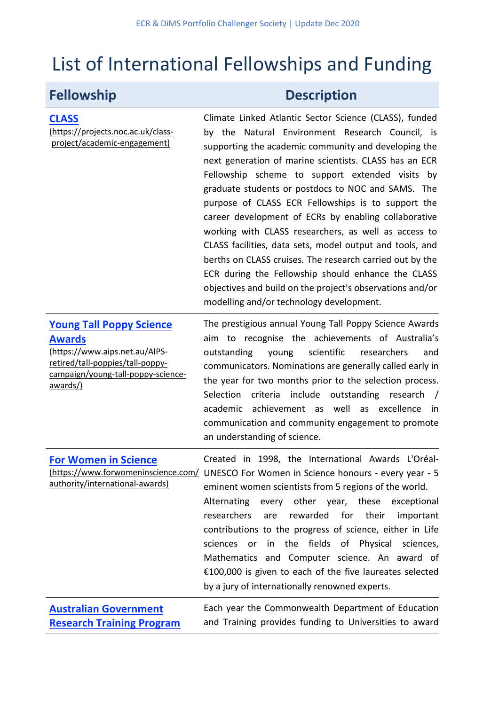# List of International Fellowships and Funding

(https://projects.noc.ac.uk/classproject/academic-engagement)

**CLASS**

# **Fellowship Description**

Climate Linked Atlantic Sector Science (CLASS), funded by the Natural Environment Research Council, is supporting the academic community and developing the next generation of marine scientists. CLASS has an ECR Fellowship scheme to support extended visits by graduate students or postdocs to NOC and SAMS. The purpose of CLASS ECR Fellowships is to support the career development of ECRs by enabling collaborative working with CLASS researchers, as well as access to CLASS facilities, data sets, model output and tools, and berths on CLASS cruises. The research carried out by the ECR during the Fellowship should enhance the CLASS objectives and build on the project's observations and/or modelling and/or technology development.

### **Young Tall Poppy Science Awards**

(https://www.aips.net.au/AIPSretired/tall-poppies/tall-poppycampaign/young-tall-poppy-scienceawards/)

The prestigious annual Young Tall Poppy Science Awards aim to recognise the achievements of Australia's outstanding young scientific researchers and communicators. Nominations are generally called early in the year for two months prior to the selection process. Selection criteria include outstanding research / academic achievement as well as excellence in communication and community engagement to promote an understanding of science.

| <b>For Women in Science</b>     | Created in 1998, the International Awards L'Oréal-                                       |
|---------------------------------|------------------------------------------------------------------------------------------|
|                                 | (https://www.forwomeninscience.com/ UNESCO For Women in Science honours - every year - 5 |
| authority/international-awards) | eminent women scientists from 5 regions of the world.                                    |
|                                 | Alternating every other year, these exceptional                                          |
|                                 | researchers are rewarded for their<br>important                                          |
|                                 | contributions to the progress of science, either in Life                                 |
|                                 | sciences or in the fields of Physical sciences,                                          |
|                                 | Mathematics and Computer science. An award of                                            |
|                                 | €100,000 is given to each of the five laureates selected                                 |
|                                 | by a jury of internationally renowned experts.                                           |
| <b>Australian Government</b>    | Each year the Commonwealth Department of Education                                       |

**Research Training Program** 

Each year the Commonwealth Department of Education and Training provides funding to Universities to award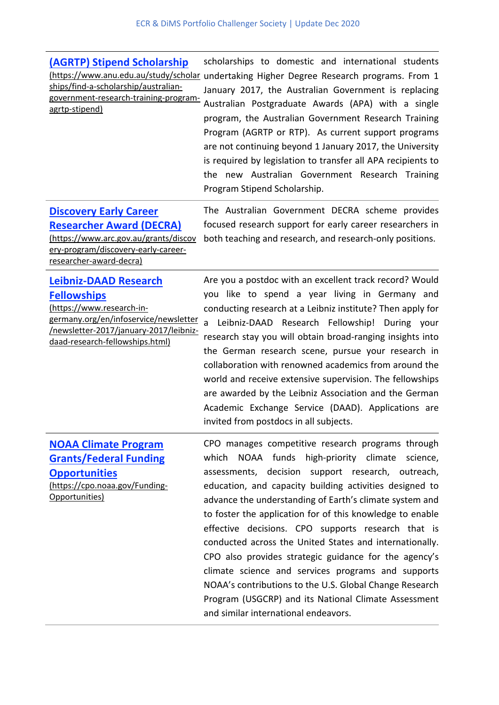# **(AGRTP) Stipend Scholarship** ships/find-a-scholarship/australiangovernment-research-training-program-

agrtp-stipend)

(https://www.anu.edu.au/study/scholar undertaking Higher Degree Research programs. From 1 scholarships to domestic and international students January 2017, the Australian Government is replacing Australian Postgraduate Awards (APA) with a single program, the Australian Government Research Training Program (AGRTP or RTP). As current support programs are not continuing beyond 1 January 2017, the University is required by legislation to transfer all APA recipients to the new Australian Government Research Training Program Stipend Scholarship.

# **Discovery Early Career Researcher Award (DECRA)**

(https://www.arc.gov.au/grants/discov ery-program/discovery-early-careerresearcher-award-decra)

### **Leibniz-DAAD Research Fellowships**

(https://www.research-ingermany.org/en/infoservice/newsletter /newsletter-2017/january-2017/leibnizdaad-research-fellowships.html)

The Australian Government DECRA scheme provides focused research support for early career researchers in both teaching and research, and research-only positions.

Are you a postdoc with an excellent track record? Would you like to spend a year living in Germany and conducting research at a Leibniz institute? Then apply for a Leibniz-DAAD Research Fellowship! During your research stay you will obtain broad-ranging insights into the German research scene, pursue your research in collaboration with renowned academics from around the world and receive extensive supervision. The fellowships are awarded by the Leibniz Association and the German Academic Exchange Service (DAAD). Applications are invited from postdocs in all subjects.

## **NOAA Climate Program Grants/Federal Funding Opportunities**

(https://cpo.noaa.gov/Funding-Opportunities)

CPO manages competitive research programs through which NOAA funds high-priority climate science, assessments, decision support research, outreach, education, and capacity building activities designed to advance the understanding of Earth's climate system and to foster the application for of this knowledge to enable effective decisions. CPO supports research that is conducted across the United States and internationally. CPO also provides strategic guidance for the agency's climate science and services programs and supports NOAA's contributions to the U.S. Global Change Research Program (USGCRP) and its National Climate Assessment and similar international endeavors.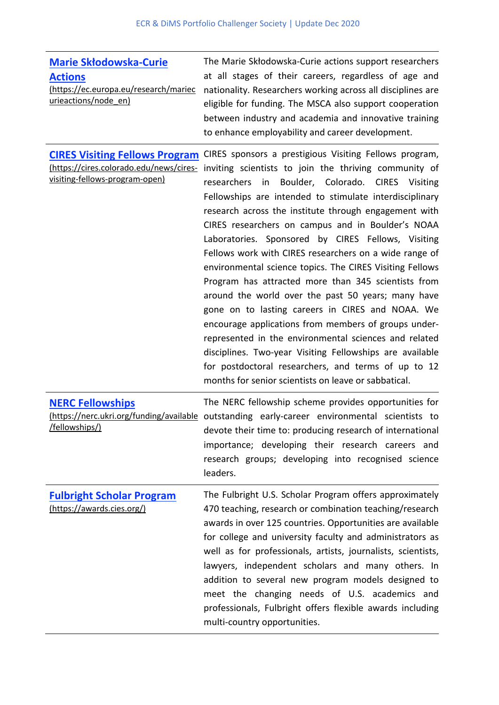| <b>Marie Skłodowska-Curie</b><br><b>Actions</b><br>(https://ec.europa.eu/research/mariec<br>urieactions/node_en)   | The Marie Skłodowska-Curie actions support researchers<br>at all stages of their careers, regardless of age and<br>nationality. Researchers working across all disciplines are<br>eligible for funding. The MSCA also support cooperation<br>between industry and academia and innovative training<br>to enhance employability and career development.                                                                                                                                                                                                                                                                                                                                                                                                                                                                                                                                                                                                                                         |
|--------------------------------------------------------------------------------------------------------------------|------------------------------------------------------------------------------------------------------------------------------------------------------------------------------------------------------------------------------------------------------------------------------------------------------------------------------------------------------------------------------------------------------------------------------------------------------------------------------------------------------------------------------------------------------------------------------------------------------------------------------------------------------------------------------------------------------------------------------------------------------------------------------------------------------------------------------------------------------------------------------------------------------------------------------------------------------------------------------------------------|
| <b>CIRES Visiting Fellows Program</b><br>(https://cires.colorado.edu/news/cires-<br>visiting-fellows-program-open) | CIRES sponsors a prestigious Visiting Fellows program,<br>inviting scientists to join the thriving community of<br>Boulder, Colorado. CIRES<br>researchers<br>in<br>Visiting<br>Fellowships are intended to stimulate interdisciplinary<br>research across the institute through engagement with<br>CIRES researchers on campus and in Boulder's NOAA<br>Laboratories. Sponsored by CIRES Fellows, Visiting<br>Fellows work with CIRES researchers on a wide range of<br>environmental science topics. The CIRES Visiting Fellows<br>Program has attracted more than 345 scientists from<br>around the world over the past 50 years; many have<br>gone on to lasting careers in CIRES and NOAA. We<br>encourage applications from members of groups under-<br>represented in the environmental sciences and related<br>disciplines. Two-year Visiting Fellowships are available<br>for postdoctoral researchers, and terms of up to 12<br>months for senior scientists on leave or sabbatical. |
| <b>NERC Fellowships</b><br>/fellowships/)                                                                          | The NERC fellowship scheme provides opportunities for<br>(https://nerc.ukri.org/funding/available outstanding early-career environmental scientists to<br>devote their time to: producing research of international<br>importance; developing their research careers and<br>research groups; developing into recognised science<br>leaders.                                                                                                                                                                                                                                                                                                                                                                                                                                                                                                                                                                                                                                                    |
| <b>Fulbright Scholar Program</b><br>(https://awards.cies.org/)                                                     | The Fulbright U.S. Scholar Program offers approximately<br>470 teaching, research or combination teaching/research                                                                                                                                                                                                                                                                                                                                                                                                                                                                                                                                                                                                                                                                                                                                                                                                                                                                             |

awards in over 125 countries. Opportunities are available for college and university faculty and administrators as well as for professionals, artists, journalists, scientists, lawyers, independent scholars and many others. In addition to several new program models designed to meet the changing needs of U.S. academics and professionals, Fulbright offers flexible awards including multi-country opportunities.